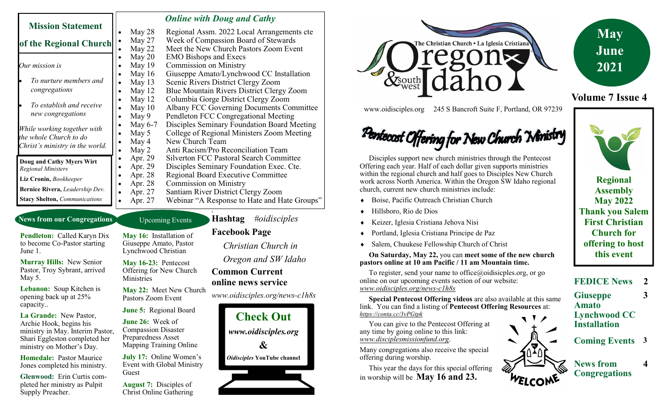| <b>Mission Statement</b><br>of the Regional Church                                       |           | <b>Online with Doug and Cathy</b>              |
|------------------------------------------------------------------------------------------|-----------|------------------------------------------------|
|                                                                                          | May 28    | Regional Assm. 2022 Local Arrangements cte     |
|                                                                                          | May 27    | Week of Compassion Board of Stewards           |
|                                                                                          | May 22    | Meet the New Church Pastors Zoom Event         |
| Our mission is                                                                           | May $20$  | <b>EMO Bishops and Execs</b>                   |
|                                                                                          | May $19$  | <b>Commission on Ministry</b>                  |
|                                                                                          | May $16$  | Giuseppe Amato/Lynchwood CC Installation       |
| To nurture members and                                                                   | May $13$  | Scenic Rivers District Clergy Zoom             |
| congregations                                                                            | May $12$  | Blue Mountain Rivers District Clergy Zoom      |
|                                                                                          | May $12$  | Columbia Gorge District Clergy Zoom            |
| To establish and receive                                                                 | May $10$  | Albany FCC Governing Documents Committee       |
| new congregations                                                                        | May 9     | Pendleton FCC Congregational Meeting           |
| While working together with<br>the whole Church to do<br>Christ's ministry in the world. | May $6-7$ | Disciples Seminary Foundation Board Meeting    |
|                                                                                          | May 5     | College of Regional Ministers Zoom Meeting     |
|                                                                                          | May 4     | New Church Team                                |
|                                                                                          | May 2     | Anti Racism/Pro Reconciliation Team            |
| Doug and Cathy Myers Wirt                                                                | Apr. 29   | <b>Silverton FCC Pastoral Search Committee</b> |
| <b>Regional Ministers</b>                                                                | Apr. 29   | Disciples Seminary Foundation Exec. Cte.       |
| Liz Cronin, Bookkeeper                                                                   | Apr. 28   | Regional Board Executive Committee             |
|                                                                                          | Apr. 28   | <b>Commission on Ministry</b>                  |
| Bernice Rivera, Leadership Dev.                                                          | Apr. 27   | Santiam River District Clergy Zoom             |
| <b>Stacy Shelton, Communications</b>                                                     | Apr. 27   | Webinar "A Response to Hate and Hate Groups"   |

## **News from our Congregations**

**Pendleton:** Called Karyn Dix to become Co-Pastor starting June 1.

**Murray Hills:** New Senior Pastor, Troy Sybrant, arrived May 5.

**Lebanon:** Soup Kitchen is opening back up at 25% capacity..

**La Grande:** New Pastor, Archie Hook, begins his ministry in May. Interim Pastor, Shari Eggleston completed her ministry on Mother's Day.

**Homedale:** Pastor Maurice Jones completed his ministry.

**Glenwood:** Erin Curtis completed her ministry as Pulpit Supply Preacher.

## Upcoming Events

**1**

**May 16:** Installation of Giuseppe Amato, Pastor Lynchwood Christian

**May 16-23:** Pentecost Offering for New Church **Ministries** 

**May 22:** Meet New Church Pastors Zoom Event

**June 5:** Regional Board

**June 26:** Week of Compassion Disaster Preparedness Asset Mapping Training Online

**July 17:** Online Women's Event with Global Ministry Guest

**August 7:** Disciples of Christ Online Gathering **Facebook Page** *Christian Church in* 

**Hashtag** *#oidisciples*

 *Oregon and SW Idaho*

## **Common Current online news service**

*www.oidisciples.org/news-c1h8s*







**Volume 7 Issue 4**

www.oidisciples.org 245 S Bancroft Suite F, Portland, OR 97239

# Pentecost Offering for New Church Nimistry

 Disciples support new church ministries through the Pentecost Offering each year. Half of each dollar given supports ministries within the regional church and half goes to Disciples New Church work across North America. Within the Oregon SW Idaho regional church, current new church ministries include:

- Boise, Pacific Outreach Christian Church
- Hillsboro, Rio de Dios
- Keizer, Iglesia Cristiana Jehova Nisi
- Portland, Iglesia Cristiana Principe de Paz
- Salem, Chuukese Fellowship Church of Christ

 **On Saturday, May 22,** you can **meet some of the new church pastors online at 10 am Pacific / 11 am Mountain time.** 

To register, send your name to office@oidisicples.org, or go online on our upcoming events section of our website: *www.oidisciples.org/news-c1h8s*

 **Special Pentecost Offering videos** are also available at this same link. You can find a listing of **Pentecost Offering Resources** at: *https://conta.cc/3vPGtpk*

 You can give to the Pentecost Offering at any time by going online to this link: *www.disciplesmissionfund.org*.

Many congregations also receive the special offering during worship.

 This year the days for this special offering in worship will be **May 16 and 23.**

**Regional Assembly May 2022 Thank you Salem First Christian Church for offering to host this event**

**FEDICE News 2**

**Giuseppe 3**

**Lynchwood CC Installation**

**Amato**

**Coming Events 3**



**Congregations**

**4**